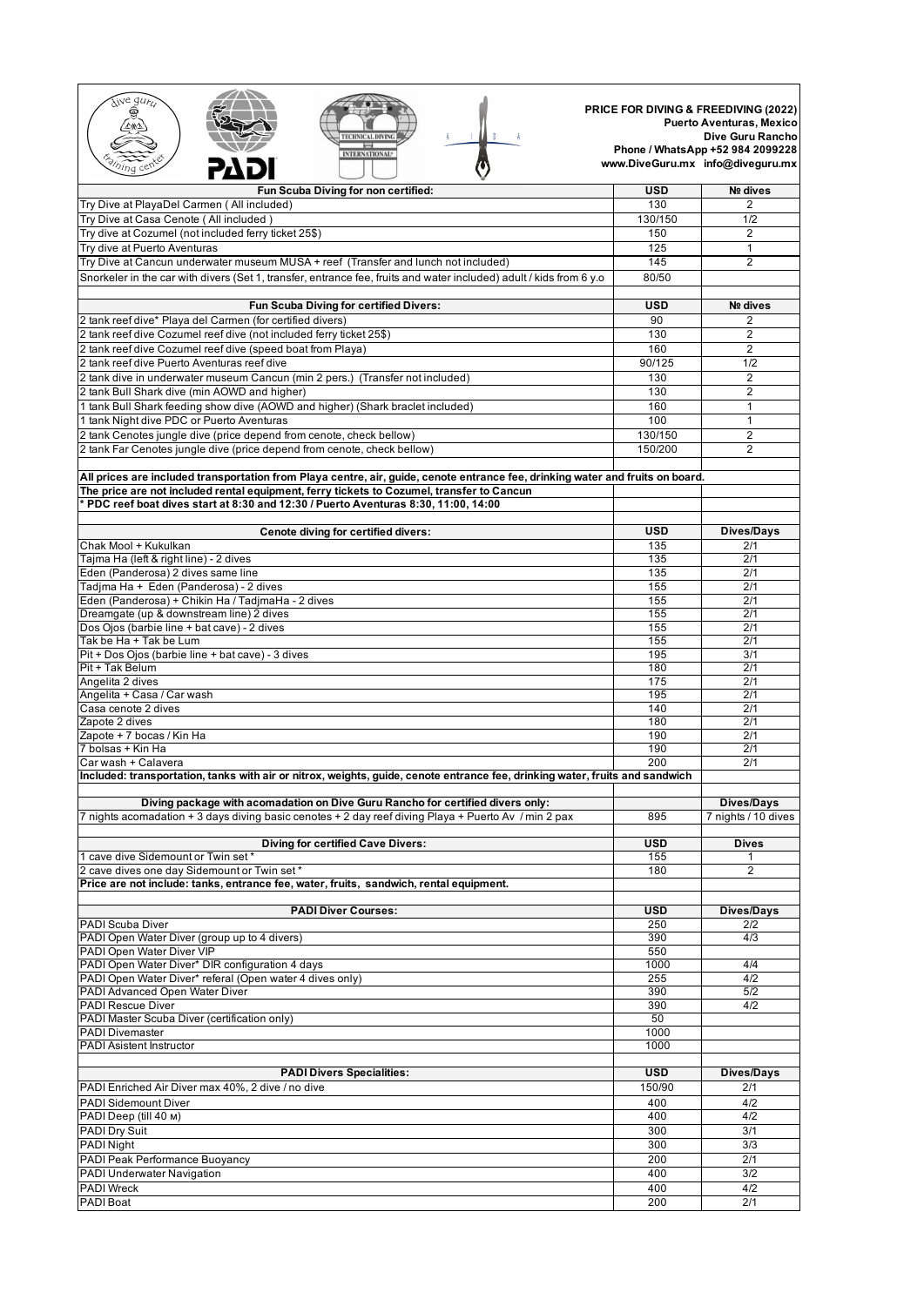| weq<br><b>TECHNICAL DIVIN</b><br><b>INTERNATIONAL<sup>®</sup></b>                                                                                                                                                           |            | <b>PRICE FOR DIVING &amp; FREEDIVING (2022)</b><br><b>Puerto Aventuras, Mexico</b><br>Dive Guru Rancho<br>Phone / WhatsApp +52 984 2099228<br>www.DiveGuru.mx info@diveguru.mx |
|-----------------------------------------------------------------------------------------------------------------------------------------------------------------------------------------------------------------------------|------------|--------------------------------------------------------------------------------------------------------------------------------------------------------------------------------|
| Fun Scuba Diving for non certified:                                                                                                                                                                                         | USD        | Nº dives                                                                                                                                                                       |
| Try Dive at PlayaDel Carmen (All included)                                                                                                                                                                                  | 130        | $\overline{2}$                                                                                                                                                                 |
| Try Dive at Casa Cenote (All included)                                                                                                                                                                                      | 130/150    | 1/2                                                                                                                                                                            |
| Try dive at Cozumel (not included ferry ticket 25\$)                                                                                                                                                                        | 150        | $\overline{2}$                                                                                                                                                                 |
| Try dive at Puerto Aventuras                                                                                                                                                                                                | 125        | 1                                                                                                                                                                              |
| Try Dive at Cancun underwater museum MUSA + reef (Transfer and lunch not included)                                                                                                                                          | 145        | 2                                                                                                                                                                              |
| Snorkeler in the car with divers (Set 1, transfer, entrance fee, fruits and water included) adult / kids from 6 y.o                                                                                                         | 80/50      |                                                                                                                                                                                |
| Fun Scuba Diving for certified Divers:                                                                                                                                                                                      | <b>USD</b> | Nº dives                                                                                                                                                                       |
| 2 tank reef dive* Playa del Carmen (for certified divers)                                                                                                                                                                   | 90         | 2                                                                                                                                                                              |
| 2 tank reef dive Cozumel reef dive (not included ferry ticket 25\$)                                                                                                                                                         | 130        | $\overline{2}$                                                                                                                                                                 |
| 2 tank reef dive Cozumel reef dive (speed boat from Playa)                                                                                                                                                                  | 160        | $\overline{2}$                                                                                                                                                                 |
| 2 tank reef dive Puerto Aventuras reef dive                                                                                                                                                                                 | 90/125     | 1/2                                                                                                                                                                            |
| 2 tank dive in underwater museum Cancun (min 2 pers.) (Transfer not included)                                                                                                                                               | 130        | $\overline{2}$                                                                                                                                                                 |
| 2 tank Bull Shark dive (min AOWD and higher)                                                                                                                                                                                | 130        | $\overline{2}$                                                                                                                                                                 |
| 1 tank Bull Shark feeding show dive (AOWD and higher) (Shark braclet included)                                                                                                                                              | 160        | 1                                                                                                                                                                              |
| 1 tank Night dive PDC or Puerto Aventuras                                                                                                                                                                                   | 100        | 1                                                                                                                                                                              |
| 2 tank Cenotes jungle dive (price depend from cenote, check bellow)                                                                                                                                                         | 130/150    | $\overline{2}$                                                                                                                                                                 |
| 2 tank Far Cenotes jungle dive (price depend from cenote, check bellow)                                                                                                                                                     | 150/200    | $\overline{2}$                                                                                                                                                                 |
|                                                                                                                                                                                                                             |            |                                                                                                                                                                                |
| All prices are included transportation from Playa centre, air, guide, cenote entrance fee, drinking water and fruits on board.<br>The price are not included rental equipment, ferry tickets to Cozumel, transfer to Cancun |            |                                                                                                                                                                                |
| $^*$ PDC reef boat dives start at 8:30 and 12:30 / Puerto Aventuras 8:30, 11:00, 14:00 $^*$                                                                                                                                 |            |                                                                                                                                                                                |
|                                                                                                                                                                                                                             |            |                                                                                                                                                                                |
| Cenote diving for certified divers:                                                                                                                                                                                         | <b>USD</b> | Dives/Days                                                                                                                                                                     |
| Chak Mool + Kukulkan                                                                                                                                                                                                        | 135        | 2/1                                                                                                                                                                            |
| Tajma Ha (left & right line) - 2 dives                                                                                                                                                                                      | 135        | 2/1                                                                                                                                                                            |
| Eden (Panderosa) 2 dives same line                                                                                                                                                                                          | 135        | 2/1                                                                                                                                                                            |
| Tadjma Ha + Eden (Panderosa) - 2 dives                                                                                                                                                                                      | 155        | 2/1                                                                                                                                                                            |
| Eden (Panderosa) + Chikin Ha / TadjmaHa - 2 dives                                                                                                                                                                           | 155        | 2/1                                                                                                                                                                            |
| Dreamgate (up & downstream line) 2 dives                                                                                                                                                                                    | 155        | 2/1                                                                                                                                                                            |
| Dos Ojos (barbie line + bat cave) - 2 dives<br>Tak be Ha + Tak be Lum                                                                                                                                                       | 155<br>155 | 2/1<br>2/1                                                                                                                                                                     |
| Pit + Dos Ojos (barbie line + bat cave) - 3 dives                                                                                                                                                                           | 195        | 3/1                                                                                                                                                                            |
| Pit + Tak Belum                                                                                                                                                                                                             | 180        | 2/1                                                                                                                                                                            |
| Angelita 2 dives                                                                                                                                                                                                            | 175        | 2/1                                                                                                                                                                            |
| Angelita + Casa / Car wash                                                                                                                                                                                                  | 195        | 2/1                                                                                                                                                                            |
| Casa cenote 2 dives                                                                                                                                                                                                         | 140        | 2/1                                                                                                                                                                            |
| Zapote 2 dives                                                                                                                                                                                                              | 180        | 2/1                                                                                                                                                                            |
| Zapote + 7 bocas / Kin Ha                                                                                                                                                                                                   | 190        | 2/1                                                                                                                                                                            |
| 7 bolsas + Kin Ha                                                                                                                                                                                                           | 190        | 2/1                                                                                                                                                                            |
| Car wash + Calavera                                                                                                                                                                                                         | 200        | 2/1                                                                                                                                                                            |
| Included: transportation, tanks with air or nitrox, weights, guide, cenote entrance fee, drinking water, fruits and sandwich                                                                                                |            |                                                                                                                                                                                |
| Diving package with acomadation on Dive Guru Rancho for certified divers only:<br>7 nights acomadation + 3 days diving basic cenotes + 2 day reef diving Playa + Puerto Av / min 2 pax                                      | 895        | <b>Dives/Days</b><br>7 nights / 10 dives                                                                                                                                       |
|                                                                                                                                                                                                                             |            |                                                                                                                                                                                |
| <b>Diving for certified Cave Divers:</b>                                                                                                                                                                                    | <b>USD</b> | <b>Dives</b>                                                                                                                                                                   |
| 1 cave dive Sidemount or Twin set*                                                                                                                                                                                          | 155        |                                                                                                                                                                                |
| 2 cave dives one day Sidemount or Twin set*                                                                                                                                                                                 | 180        | $\overline{2}$                                                                                                                                                                 |
| Price are not include: tanks, entrance fee, water, fruits, sandwich, rental equipment.                                                                                                                                      |            |                                                                                                                                                                                |
|                                                                                                                                                                                                                             |            |                                                                                                                                                                                |
| <b>PADI Diver Courses:</b>                                                                                                                                                                                                  | USD        | <b>Dives/Days</b>                                                                                                                                                              |
| PADI Scuba Diver<br>PADI Open Water Diver (group up to 4 divers)                                                                                                                                                            | 250        | 2/2                                                                                                                                                                            |
| PADI Open Water Diver VIP                                                                                                                                                                                                   | 390<br>550 | 4/3                                                                                                                                                                            |
| PADI Open Water Diver* DIR configuration 4 days                                                                                                                                                                             | 1000       | 4/4                                                                                                                                                                            |
| PADI Open Water Diver* referal (Open water 4 dives only)                                                                                                                                                                    | 255        | 4/2                                                                                                                                                                            |
| PADI Advanced Open Water Diver                                                                                                                                                                                              | 390        | 5/2                                                                                                                                                                            |
| PADI Rescue Diver                                                                                                                                                                                                           | 390        | 4/2                                                                                                                                                                            |
| PADI Master Scuba Diver (certification only)                                                                                                                                                                                | 50         |                                                                                                                                                                                |
| <b>PADI Divemaster</b>                                                                                                                                                                                                      | 1000       |                                                                                                                                                                                |
| PADI Asistent Instructor                                                                                                                                                                                                    | 1000       |                                                                                                                                                                                |
|                                                                                                                                                                                                                             |            |                                                                                                                                                                                |
| <b>PADI Divers Specialities:</b>                                                                                                                                                                                            | <b>USD</b> | <b>Dives/Days</b>                                                                                                                                                              |
| PADI Enriched Air Diver max 40%, 2 dive / no dive                                                                                                                                                                           | 150/90     | 2/1                                                                                                                                                                            |
| <b>PADI Sidemount Diver</b>                                                                                                                                                                                                 | 400        | 4/2                                                                                                                                                                            |
| PADI Deep (till 40 M)                                                                                                                                                                                                       | 400        | 4/2                                                                                                                                                                            |
| PADI Dry Suit                                                                                                                                                                                                               | 300        | 3/1                                                                                                                                                                            |
| PADI Night                                                                                                                                                                                                                  | 300        | 3/3                                                                                                                                                                            |
| PADI Peak Performance Buoyancy                                                                                                                                                                                              | 200        | 2/1                                                                                                                                                                            |
| PADI Underwater Navigation                                                                                                                                                                                                  | 400        | $\overline{3/2}$                                                                                                                                                               |
| <b>PADI Wreck</b>                                                                                                                                                                                                           | 400        | 4/2                                                                                                                                                                            |
| PADI Boat                                                                                                                                                                                                                   | 200        | 2/1                                                                                                                                                                            |